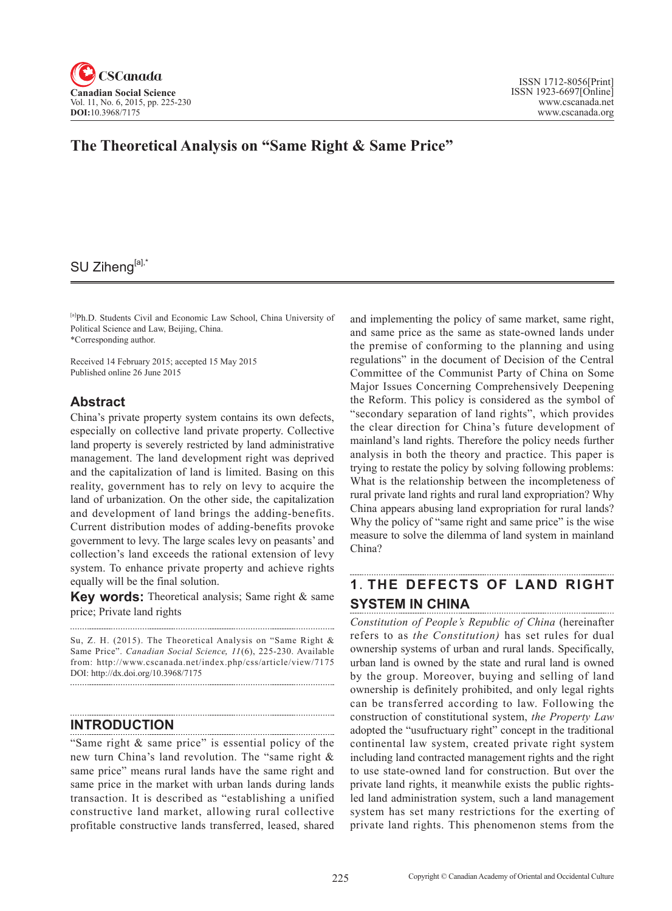

# SU Ziheng[a],\*

[a]Ph.D. Students Civil and Economic Law School, China University of Political Science and Law, Beijing, China. \*Corresponding author.

Received 14 February 2015; accepted 15 May 2015 Published online 26 June 2015

## **Abstract**

China's private property system contains its own defects, especially on collective land private property. Collective land property is severely restricted by land administrative management. The land development right was deprived and the capitalization of land is limited. Basing on this reality, government has to rely on levy to acquire the land of urbanization. On the other side, the capitalization and development of land brings the adding-benefits. Current distribution modes of adding-benefits provoke government to levy. The large scales levy on peasants' and collection's land exceeds the rational extension of levy system. To enhance private property and achieve rights equally will be the final solution.

**Key words:** Theoretical analysis; Same right & same price; Private land rights

Su, Z. H. (2015). The Theoretical Analysis on "Same Right & Same Price". *Canadian Social Science*, 11(6), 225-230. Available from: http://www.cscanada.net/index.php/css/article/view/7175 DOI: http://dx.doi.org/10.3968/7175 

### **INTRODUCTION**

"Same right & same price" is essential policy of the new turn China's land revolution. The "same right & same price" means rural lands have the same right and same price in the market with urban lands during lands transaction. It is described as "establishing a unified constructive land market, allowing rural collective profitable constructive lands transferred, leased, shared

and implementing the policy of same market, same right, and same price as the same as state-owned lands under the premise of conforming to the planning and using regulations" in the document of Decision of the Central Committee of the Communist Party of China on Some Major Issues Concerning Comprehensively Deepening the Reform. This policy is considered as the symbol of "secondary separation of land rights", which provides the clear direction for China's future development of mainland's land rights. Therefore the policy needs further analysis in both the theory and practice. This paper is trying to restate the policy by solving following problems: What is the relationship between the incompleteness of rural private land rights and rural land expropriation? Why China appears abusing land expropriation for rural lands? Why the policy of "same right and same price" is the wise measure to solve the dilemma of land system in mainland China?

## **1**.**THE DEFECTS OF LAND RIGHT SYSTEM IN CHINA**

*Constitution of People's Republic of China* (hereinafter refers to as *the Constitution)* has set rules for dual ownership systems of urban and rural lands. Specifically, urban land is owned by the state and rural land is owned by the group. Moreover, buying and selling of land ownership is definitely prohibited, and only legal rights can be transferred according to law. Following the construction of constitutional system, *the Property Law*  adopted the "usufructuary right" concept in the traditional continental law system, created private right system including land contracted management rights and the right to use state-owned land for construction. But over the private land rights, it meanwhile exists the public rightsled land administration system, such a land management system has set many restrictions for the exerting of private land rights. This phenomenon stems from the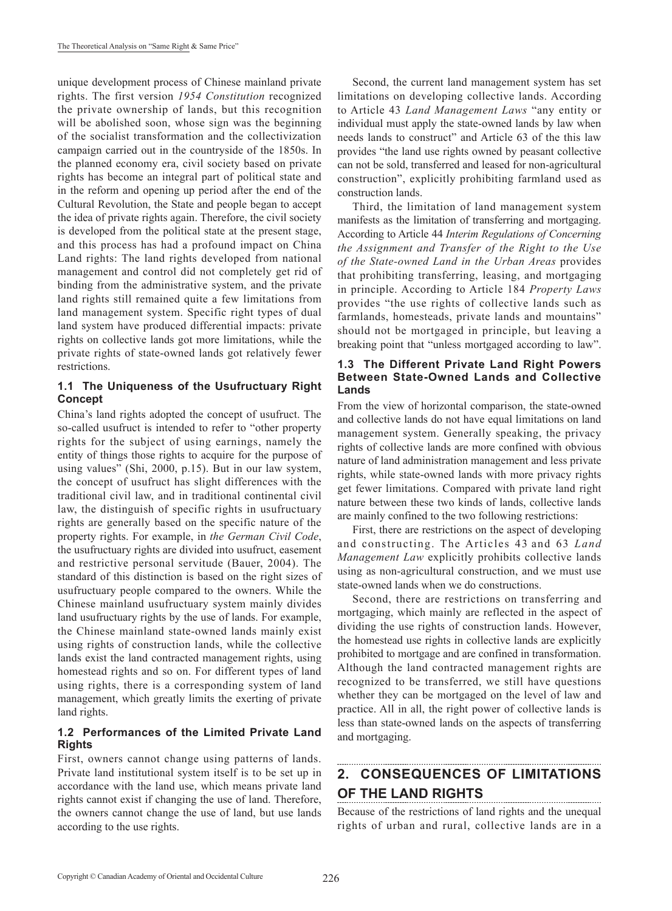unique development process of Chinese mainland private rights. The first version *1954 Constitution* recognized the private ownership of lands, but this recognition will be abolished soon, whose sign was the beginning of the socialist transformation and the collectivization campaign carried out in the countryside of the 1850s. In the planned economy era, civil society based on private rights has become an integral part of political state and in the reform and opening up period after the end of the Cultural Revolution, the State and people began to accept the idea of private rights again. Therefore, the civil society is developed from the political state at the present stage, and this process has had a profound impact on China Land rights: The land rights developed from national management and control did not completely get rid of binding from the administrative system, and the private land rights still remained quite a few limitations from land management system. Specific right types of dual land system have produced differential impacts: private rights on collective lands got more limitations, while the private rights of state-owned lands got relatively fewer restrictions.

### **1.1 The Uniqueness of the Usufructuary Right Concept**

China's land rights adopted the concept of usufruct. The so-called usufruct is intended to refer to "other property rights for the subject of using earnings, namely the entity of things those rights to acquire for the purpose of using values" (Shi, 2000, p.15). But in our law system, the concept of usufruct has slight differences with the traditional civil law, and in traditional continental civil law, the distinguish of specific rights in usufructuary rights are generally based on the specific nature of the property rights. For example, in *the German Civil Code*, the usufructuary rights are divided into usufruct, easement and restrictive personal servitude (Bauer, 2004). The standard of this distinction is based on the right sizes of usufructuary people compared to the owners. While the Chinese mainland usufructuary system mainly divides land usufructuary rights by the use of lands. For example, the Chinese mainland state-owned lands mainly exist using rights of construction lands, while the collective lands exist the land contracted management rights, using homestead rights and so on. For different types of land using rights, there is a corresponding system of land management, which greatly limits the exerting of private land rights.

### **1.2 Performances of the Limited Private Land Rights**

First, owners cannot change using patterns of lands. Private land institutional system itself is to be set up in accordance with the land use, which means private land rights cannot exist if changing the use of land. Therefore, the owners cannot change the use of land, but use lands according to the use rights.

Second, the current land management system has set limitations on developing collective lands. According to Article 43 *Land Management Laws* "any entity or individual must apply the state-owned lands by law when needs lands to construct" and Article 63 of the this law provides "the land use rights owned by peasant collective can not be sold, transferred and leased for non-agricultural construction", explicitly prohibiting farmland used as construction lands.

Third, the limitation of land management system manifests as the limitation of transferring and mortgaging. According to Article 44 *Interim Regulations of Concerning the Assignment and Transfer of the Right to the Use of the State-owned Land in the Urban Areas* provides that prohibiting transferring, leasing, and mortgaging in principle. According to Article 184 *Property Laws*  provides "the use rights of collective lands such as farmlands, homesteads, private lands and mountains" should not be mortgaged in principle, but leaving a breaking point that "unless mortgaged according to law".

#### **1.3 The Different Private Land Right Powers Between State-Owned Lands and Collective Lands**

From the view of horizontal comparison, the state-owned and collective lands do not have equal limitations on land management system. Generally speaking, the privacy rights of collective lands are more confined with obvious nature of land administration management and less private rights, while state-owned lands with more privacy rights get fewer limitations. Compared with private land right nature between these two kinds of lands, collective lands are mainly confined to the two following restrictions:

First, there are restrictions on the aspect of developing and constructing. The Articles 43 and 63 *Land Management Law* explicitly prohibits collective lands using as non-agricultural construction, and we must use state-owned lands when we do constructions.

Second, there are restrictions on transferring and mortgaging, which mainly are reflected in the aspect of dividing the use rights of construction lands. However, the homestead use rights in collective lands are explicitly prohibited to mortgage and are confined in transformation. Although the land contracted management rights are recognized to be transferred, we still have questions whether they can be mortgaged on the level of law and practice. All in all, the right power of collective lands is less than state-owned lands on the aspects of transferring and mortgaging.

#### **2. CONSEQUENCES OF LIMITATIONS OF THE LAND RIGHTS**

Because of the restrictions of land rights and the unequal rights of urban and rural, collective lands are in a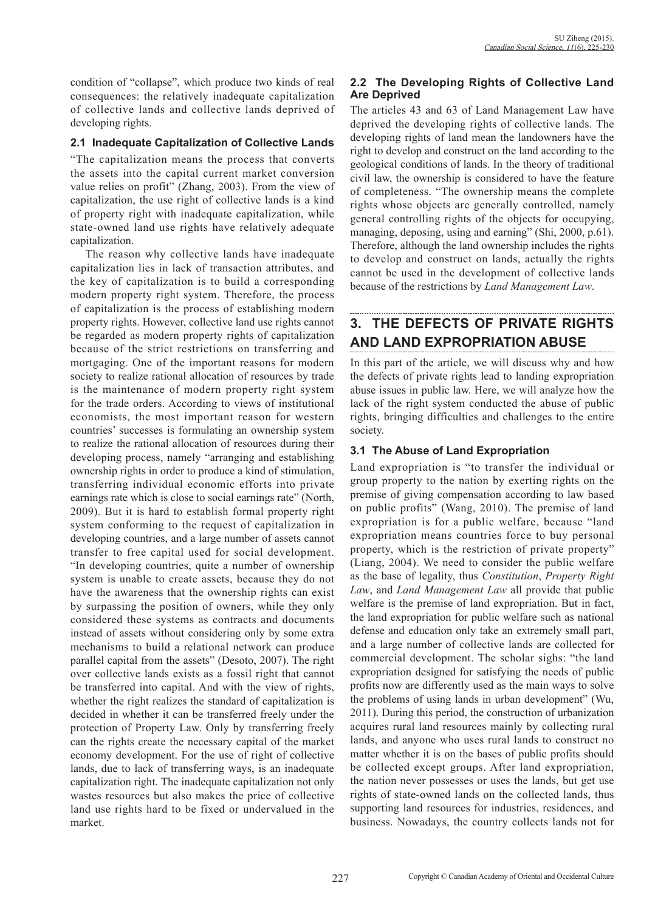condition of "collapse", which produce two kinds of real consequences: the relatively inadequate capitalization of collective lands and collective lands deprived of developing rights.

#### **2.1 Inadequate Capitalization of Collective Lands**

"The capitalization means the process that converts the assets into the capital current market conversion value relies on profit" (Zhang, 2003). From the view of capitalization, the use right of collective lands is a kind of property right with inadequate capitalization, while state-owned land use rights have relatively adequate capitalization.

The reason why collective lands have inadequate capitalization lies in lack of transaction attributes, and the key of capitalization is to build a corresponding modern property right system. Therefore, the process of capitalization is the process of establishing modern property rights. However, collective land use rights cannot be regarded as modern property rights of capitalization because of the strict restrictions on transferring and mortgaging. One of the important reasons for modern society to realize rational allocation of resources by trade is the maintenance of modern property right system for the trade orders. According to views of institutional economists, the most important reason for western countries' successes is formulating an ownership system to realize the rational allocation of resources during their developing process, namely "arranging and establishing ownership rights in order to produce a kind of stimulation, transferring individual economic efforts into private earnings rate which is close to social earnings rate" (North, 2009). But it is hard to establish formal property right system conforming to the request of capitalization in developing countries, and a large number of assets cannot transfer to free capital used for social development. "In developing countries, quite a number of ownership system is unable to create assets, because they do not have the awareness that the ownership rights can exist by surpassing the position of owners, while they only considered these systems as contracts and documents instead of assets without considering only by some extra mechanisms to build a relational network can produce parallel capital from the assets" (Desoto, 2007). The right over collective lands exists as a fossil right that cannot be transferred into capital. And with the view of rights, whether the right realizes the standard of capitalization is decided in whether it can be transferred freely under the protection of Property Law. Only by transferring freely can the rights create the necessary capital of the market economy development. For the use of right of collective lands, due to lack of transferring ways, is an inadequate capitalization right. The inadequate capitalization not only wastes resources but also makes the price of collective land use rights hard to be fixed or undervalued in the market.

## **2.2 The Developing Rights of Collective Land Are Deprived**

The articles 43 and 63 of Land Management Law have deprived the developing rights of collective lands. The developing rights of land mean the landowners have the right to develop and construct on the land according to the geological conditions of lands. In the theory of traditional civil law, the ownership is considered to have the feature of completeness. "The ownership means the complete rights whose objects are generally controlled, namely general controlling rights of the objects for occupying, managing, deposing, using and earning" (Shi, 2000, p.61). Therefore, although the land ownership includes the rights to develop and construct on lands, actually the rights cannot be used in the development of collective lands because of the restrictions by *Land Management Law*.

# **3. THE DEFECTS OF PRIVATE RIGHTS AND LAND EXPROPRIATION ABUSE**

In this part of the article, we will discuss why and how the defects of private rights lead to landing expropriation abuse issues in public law. Here, we will analyze how the lack of the right system conducted the abuse of public rights, bringing difficulties and challenges to the entire society.

## **3.1 The Abuse of Land Expropriation**

Land expropriation is "to transfer the individual or group property to the nation by exerting rights on the premise of giving compensation according to law based on public profits" (Wang, 2010). The premise of land expropriation is for a public welfare, because "land expropriation means countries force to buy personal property, which is the restriction of private property" (Liang, 2004). We need to consider the public welfare as the base of legality, thus *Constitution*, *Property Right Law*, and *Land Management Law* all provide that public welfare is the premise of land expropriation. But in fact, the land expropriation for public welfare such as national defense and education only take an extremely small part, and a large number of collective lands are collected for commercial development. The scholar sighs: "the land expropriation designed for satisfying the needs of public profits now are differently used as the main ways to solve the problems of using lands in urban development" (Wu, 2011). During this period, the construction of urbanization acquires rural land resources mainly by collecting rural lands, and anyone who uses rural lands to construct no matter whether it is on the bases of public profits should be collected except groups. After land expropriation, the nation never possesses or uses the lands, but get use rights of state-owned lands on the collected lands, thus supporting land resources for industries, residences, and business. Nowadays, the country collects lands not for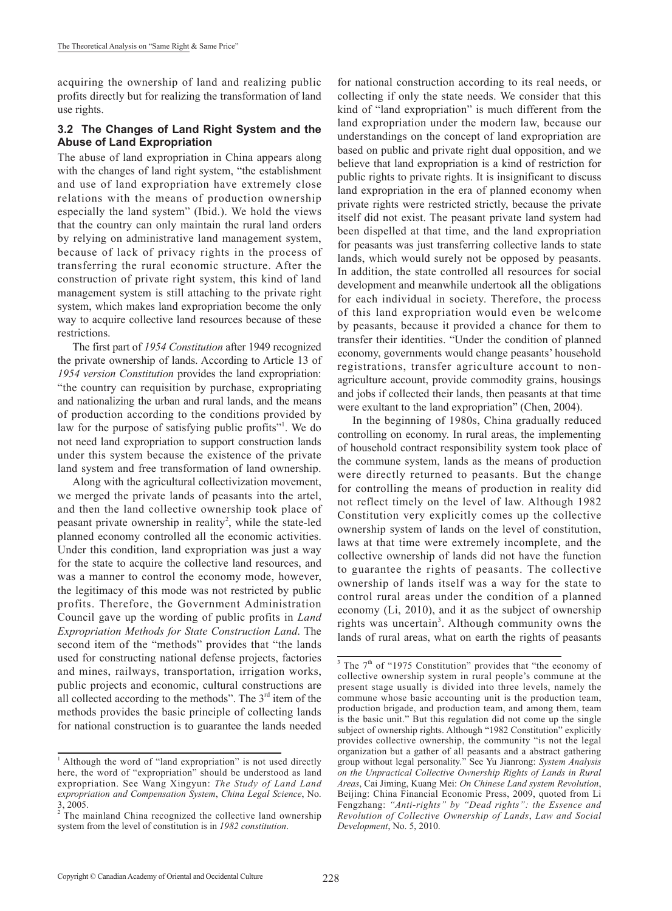acquiring the ownership of land and realizing public profits directly but for realizing the transformation of land use rights.

#### **3.2 The Changes of Land Right System and the Abuse of Land Expropriation**

The abuse of land expropriation in China appears along with the changes of land right system, "the establishment and use of land expropriation have extremely close relations with the means of production ownership especially the land system" (Ibid.). We hold the views that the country can only maintain the rural land orders by relying on administrative land management system, because of lack of privacy rights in the process of transferring the rural economic structure. After the construction of private right system, this kind of land management system is still attaching to the private right system, which makes land expropriation become the only way to acquire collective land resources because of these restrictions.

The first part of *1954 Constitution* after 1949 recognized the private ownership of lands. According to Article 13 of *1954 version Constitution* provides the land expropriation: "the country can requisition by purchase, expropriating and nationalizing the urban and rural lands, and the means of production according to the conditions provided by law for the purpose of satisfying public profits"<sup>1</sup>. We do not need land expropriation to support construction lands under this system because the existence of the private land system and free transformation of land ownership.

Along with the agricultural collectivization movement, we merged the private lands of peasants into the artel, and then the land collective ownership took place of peasant private ownership in reality<sup>2</sup>, while the state-led planned economy controlled all the economic activities. Under this condition, land expropriation was just a way for the state to acquire the collective land resources, and was a manner to control the economy mode, however, the legitimacy of this mode was not restricted by public profits. Therefore, the Government Administration Council gave up the wording of public profits in *Land Expropriation Methods for State Construction Land*. The second item of the "methods" provides that "the lands used for constructing national defense projects, factories and mines, railways, transportation, irrigation works, public projects and economic, cultural constructions are all collected according to the methods". The  $3<sup>rd</sup>$  item of the methods provides the basic principle of collecting lands for national construction is to guarantee the lands needed

for national construction according to its real needs, or collecting if only the state needs. We consider that this kind of "land expropriation" is much different from the land expropriation under the modern law, because our understandings on the concept of land expropriation are based on public and private right dual opposition, and we believe that land expropriation is a kind of restriction for public rights to private rights. It is insignificant to discuss land expropriation in the era of planned economy when private rights were restricted strictly, because the private itself did not exist. The peasant private land system had been dispelled at that time, and the land expropriation for peasants was just transferring collective lands to state lands, which would surely not be opposed by peasants. In addition, the state controlled all resources for social development and meanwhile undertook all the obligations for each individual in society. Therefore, the process of this land expropriation would even be welcome by peasants, because it provided a chance for them to transfer their identities. "Under the condition of planned economy, governments would change peasants' household registrations, transfer agriculture account to nonagriculture account, provide commodity grains, housings and jobs if collected their lands, then peasants at that time were exultant to the land expropriation" (Chen, 2004).

In the beginning of 1980s, China gradually reduced controlling on economy. In rural areas, the implementing of household contract responsibility system took place of the commune system, lands as the means of production were directly returned to peasants. But the change for controlling the means of production in reality did not reflect timely on the level of law. Although 1982 Constitution very explicitly comes up the collective ownership system of lands on the level of constitution, laws at that time were extremely incomplete, and the collective ownership of lands did not have the function to guarantee the rights of peasants. The collective ownership of lands itself was a way for the state to control rural areas under the condition of a planned economy (Li, 2010), and it as the subject of ownership rights was uncertain<sup>3</sup>. Although community owns the lands of rural areas, what on earth the rights of peasants

<sup>&</sup>lt;sup>1</sup> Although the word of "land expropriation" is not used directly here, the word of "expropriation" should be understood as land expropriation. See Wang Xingyun: *The Study of Land Land expropriation and Compensation System*, *China Legal Science*, No. 3, 2005.

<sup>&</sup>lt;sup>2</sup> The mainland China recognized the collective land ownership system from the level of constitution is in *1982 constitution*.

 $3$  The  $7<sup>th</sup>$  of "1975 Constitution" provides that "the economy of collective ownership system in rural people's commune at the present stage usually is divided into three levels, namely the commune whose basic accounting unit is the production team, production brigade, and production team, and among them, team is the basic unit." But this regulation did not come up the single subject of ownership rights. Although "1982 Constitution" explicitly provides collective ownership, the community "is not the legal organization but a gather of all peasants and a abstract gathering group without legal personality." See Yu Jianrong: *System Analysis on the Unpractical Collective Ownership Rights of Lands in Rural Areas*, Cai Jiming, Kuang Mei: *On Chinese Land system Revolution*, Beijing: China Financial Economic Press, 2009, quoted from Li Fengzhang: *"Anti-rights" by "Dead rights": the Essence and Revolution of Collective Ownership of Lands*, *Law and Social Development*, No. 5, 2010.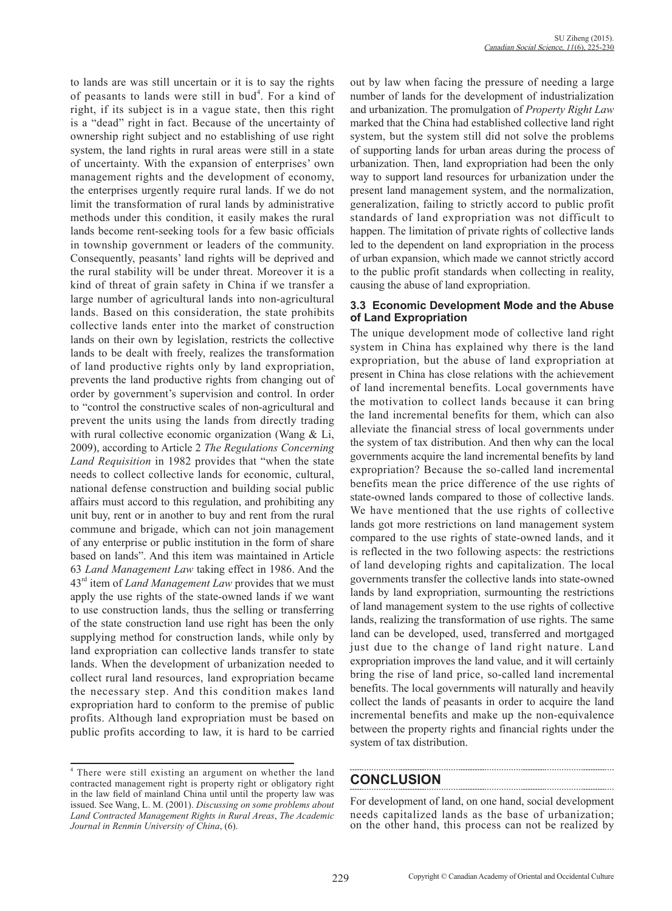to lands are was still uncertain or it is to say the rights of peasants to lands were still in bud<sup>4</sup>. For a kind of right, if its subject is in a vague state, then this right is a "dead" right in fact. Because of the uncertainty of ownership right subject and no establishing of use right system, the land rights in rural areas were still in a state of uncertainty. With the expansion of enterprises' own management rights and the development of economy, the enterprises urgently require rural lands. If we do not limit the transformation of rural lands by administrative methods under this condition, it easily makes the rural lands become rent-seeking tools for a few basic officials in township government or leaders of the community. Consequently, peasants' land rights will be deprived and the rural stability will be under threat. Moreover it is a kind of threat of grain safety in China if we transfer a large number of agricultural lands into non-agricultural lands. Based on this consideration, the state prohibits collective lands enter into the market of construction lands on their own by legislation, restricts the collective lands to be dealt with freely, realizes the transformation of land productive rights only by land expropriation, prevents the land productive rights from changing out of order by government's supervision and control. In order to "control the constructive scales of non-agricultural and prevent the units using the lands from directly trading with rural collective economic organization (Wang & Li, 2009), according to Article 2 *The Regulations Concerning Land Requisition* in 1982 provides that "when the state needs to collect collective lands for economic, cultural, national defense construction and building social public affairs must accord to this regulation, and prohibiting any unit buy, rent or in another to buy and rent from the rural commune and brigade, which can not join management of any enterprise or public institution in the form of share based on lands". And this item was maintained in Article 63 *Land Management Law* taking effect in 1986. And the 43<sup>rd</sup> item of *Land Management Law* provides that we must apply the use rights of the state-owned lands if we want to use construction lands, thus the selling or transferring of the state construction land use right has been the only supplying method for construction lands, while only by land expropriation can collective lands transfer to state lands. When the development of urbanization needed to collect rural land resources, land expropriation became the necessary step. And this condition makes land expropriation hard to conform to the premise of public profits. Although land expropriation must be based on public profits according to law, it is hard to be carried

out by law when facing the pressure of needing a large number of lands for the development of industrialization and urbanization. The promulgation of *Property Right Law* marked that the China had established collective land right system, but the system still did not solve the problems of supporting lands for urban areas during the process of urbanization. Then, land expropriation had been the only way to support land resources for urbanization under the present land management system, and the normalization, generalization, failing to strictly accord to public profit standards of land expropriation was not difficult to happen. The limitation of private rights of collective lands led to the dependent on land expropriation in the process of urban expansion, which made we cannot strictly accord to the public profit standards when collecting in reality, causing the abuse of land expropriation.

#### **3.3 Economic Development Mode and the Abuse of Land Expropriation**

The unique development mode of collective land right system in China has explained why there is the land expropriation, but the abuse of land expropriation at present in China has close relations with the achievement of land incremental benefits. Local governments have the motivation to collect lands because it can bring the land incremental benefits for them, which can also alleviate the financial stress of local governments under the system of tax distribution. And then why can the local governments acquire the land incremental benefits by land expropriation? Because the so-called land incremental benefits mean the price difference of the use rights of state-owned lands compared to those of collective lands. We have mentioned that the use rights of collective lands got more restrictions on land management system compared to the use rights of state-owned lands, and it is reflected in the two following aspects: the restrictions of land developing rights and capitalization. The local governments transfer the collective lands into state-owned lands by land expropriation, surmounting the restrictions of land management system to the use rights of collective lands, realizing the transformation of use rights. The same land can be developed, used, transferred and mortgaged just due to the change of land right nature. Land expropriation improves the land value, and it will certainly bring the rise of land price, so-called land incremental benefits. The local governments will naturally and heavily collect the lands of peasants in order to acquire the land incremental benefits and make up the non-equivalence between the property rights and financial rights under the system of tax distribution.

## **CONCLUSION**

For development of land, on one hand, social development needs capitalized lands as the base of urbanization; on the other hand, this process can not be realized by

<sup>4</sup> There were still existing an argument on whether the land contracted management right is property right or obligatory right in the law field of mainland China until until the property law was issued. See Wang, L. M. (2001). *Discussing on some problems about Land Contracted Management Rights in Rural Areas*, *The Academic Journal in Renmin University of China*, (6).